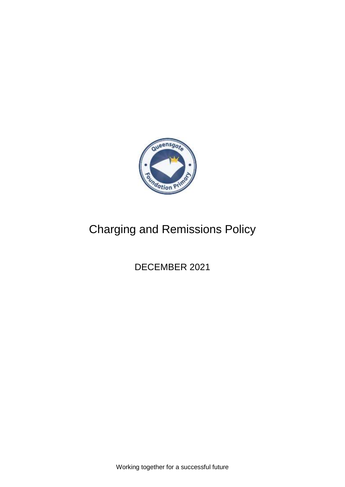

# Charging and Remissions Policy

DECEMBER 2021

Working together for a successful future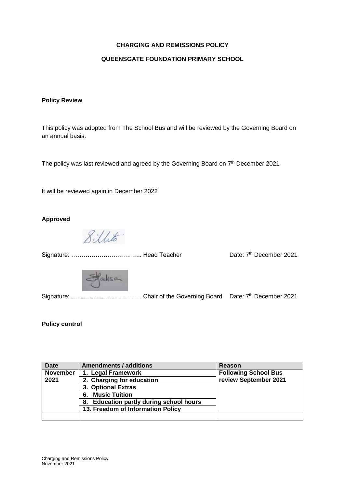#### **CHARGING AND REMISSIONS POLICY**

#### **QUEENSGATE FOUNDATION PRIMARY SCHOOL**

#### **Policy Review**

This policy was adopted from The School Bus and will be reviewed by the Governing Board on an annual basis.

The policy was last reviewed and agreed by the Governing Board on  $7<sup>th</sup>$  December 2021

It will be reviewed again in December 2022

## **Approved**

8 illito

Signature: …………………………….. Head Teacher Date: 7th December 2021



Signature: …………………………….. Chair of the Governing Board Date: 7th December 2021

#### **Policy control**

| <b>Date</b>     | <b>Amendments / additions</b>                     | Reason                                               |
|-----------------|---------------------------------------------------|------------------------------------------------------|
| <b>November</b> | 1. Legal Framework                                | <b>Following School Bus</b><br>review September 2021 |
| 2021            | 2. Charging for education                         |                                                      |
|                 | 3. Optional Extras                                |                                                      |
|                 | <b>Music Tuition</b><br>6.                        |                                                      |
|                 | <b>Education partly during school hours</b><br>8. |                                                      |
|                 | 13. Freedom of Information Policy                 |                                                      |
|                 |                                                   |                                                      |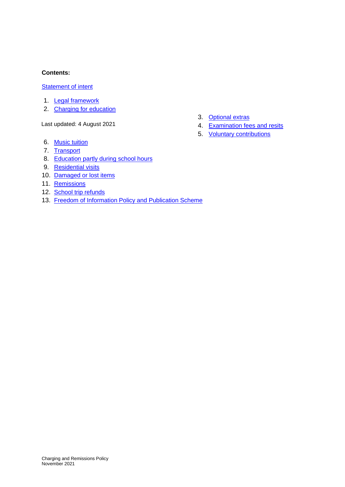#### **Contents:**

## **[Statement of intent](#page-3-0)**

- 1. [Legal framework](#page-4-0)
- 2. [Charging for education](#page-4-1)

Last updated: 4 August 2021

- 6. [Music tuition](#page-6-1)
- 7. [Transport](#page-6-2)
- 8. [Education partly during school hours](#page-6-3)
- 9. [Residential visits](#page-7-0)
- 10. [Damaged or lost items](#page-7-1)
- 11. [Remissions](#page-7-2)
- 12. [School trip refunds](#page-8-0)
- 13. [Freedom of Information Policy and Publication Scheme](#page-9-0)
- 3. [Optional extras](#page-4-2)
- 4. [Examination fees and resits](#page-5-0)
- 5. [Voluntary contributions](#page-6-0)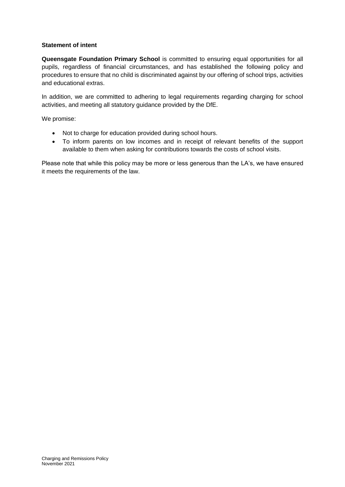#### <span id="page-3-0"></span>**Statement of intent**

**Queensgate Foundation Primary School** is committed to ensuring equal opportunities for all pupils, regardless of financial circumstances, and has established the following policy and procedures to ensure that no child is discriminated against by our offering of school trips, activities and educational extras.

In addition, we are committed to adhering to legal requirements regarding charging for school activities, and meeting all statutory guidance provided by the DfE.

We promise:

- Not to charge for education provided during school hours.
- To inform parents on low incomes and in receipt of relevant benefits of the support available to them when asking for contributions towards the costs of school visits.

Please note that while this policy may be more or less generous than the LA's, we have ensured it meets the requirements of the law.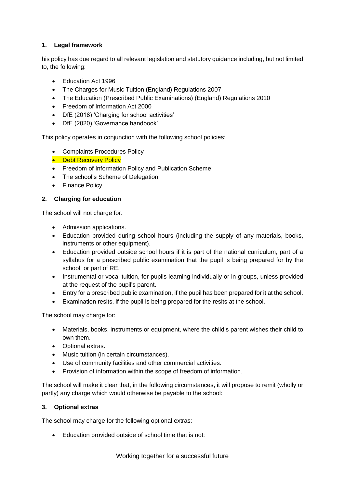# <span id="page-4-0"></span>**1. Legal framework**

his policy has due regard to all relevant legislation and statutory guidance including, but not limited to, the following:

- Education Act 1996
- The Charges for Music Tuition (England) Regulations 2007
- The Education (Prescribed Public Examinations) (England) Regulations 2010
- Freedom of Information Act 2000
- DfE (2018) 'Charging for school activities'
- DfE (2020) 'Governance handbook'

This policy operates in conjunction with the following school policies:

- Complaints Procedures Policy
- Debt Recovery Policy
- Freedom of Information Policy and Publication Scheme
- The school's Scheme of Delegation
- Finance Policy

# <span id="page-4-1"></span>**2. Charging for education**

The school will not charge for:

- Admission applications.
- Education provided during school hours (including the supply of any materials, books, instruments or other equipment).
- Education provided outside school hours if it is part of the national curriculum, part of a syllabus for a prescribed public examination that the pupil is being prepared for by the school, or part of RE.
- Instrumental or vocal tuition, for pupils learning individually or in groups, unless provided at the request of the pupil's parent.
- Entry for a prescribed public examination, if the pupil has been prepared for it at the school.
- Examination resits, if the pupil is being prepared for the resits at the school.

The school may charge for:

- Materials, books, instruments or equipment, where the child's parent wishes their child to own them.
- Optional extras.
- Music tuition (in certain circumstances).
- Use of community facilities and other commercial activities.
- Provision of information within the scope of freedom of information.

The school will make it clear that, in the following circumstances, it will propose to remit (wholly or partly) any charge which would otherwise be payable to the school:

## <span id="page-4-2"></span>**3. Optional extras**

The school may charge for the following optional extras:

Education provided outside of school time that is not: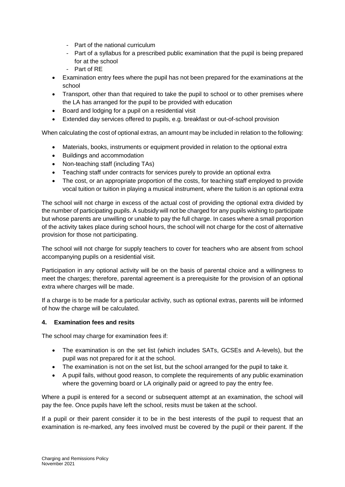- Part of the national curriculum
- Part of a syllabus for a prescribed public examination that the pupil is being prepared for at the school
- Part of RE
- Examination entry fees where the pupil has not been prepared for the examinations at the school
- Transport, other than that required to take the pupil to school or to other premises where the LA has arranged for the pupil to be provided with education
- Board and lodging for a pupil on a residential visit
- Extended day services offered to pupils, e.g. breakfast or out-of-school provision

When calculating the cost of optional extras, an amount may be included in relation to the following:

- Materials, books, instruments or equipment provided in relation to the optional extra
- Buildings and accommodation
- Non-teaching staff (including TAs)
- Teaching staff under contracts for services purely to provide an optional extra
- The cost, or an appropriate proportion of the costs, for teaching staff employed to provide vocal tuition or tuition in playing a musical instrument, where the tuition is an optional extra

The school will not charge in excess of the actual cost of providing the optional extra divided by the number of participating pupils. A subsidy will not be charged for any pupils wishing to participate but whose parents are unwilling or unable to pay the full charge. In cases where a small proportion of the activity takes place during school hours, the school will not charge for the cost of alternative provision for those not participating.

The school will not charge for supply teachers to cover for teachers who are absent from school accompanying pupils on a residential visit.

Participation in any optional activity will be on the basis of parental choice and a willingness to meet the charges; therefore, parental agreement is a prerequisite for the provision of an optional extra where charges will be made.

If a charge is to be made for a particular activity, such as optional extras, parents will be informed of how the charge will be calculated.

## <span id="page-5-0"></span>**4. Examination fees and resits**

The school may charge for examination fees if:

- The examination is on the set list (which includes SATs, GCSEs and A-levels), but the pupil was not prepared for it at the school.
- The examination is not on the set list, but the school arranged for the pupil to take it.
- A pupil fails, without good reason, to complete the requirements of any public examination where the governing board or LA originally paid or agreed to pay the entry fee.

Where a pupil is entered for a second or subsequent attempt at an examination, the school will pay the fee. Once pupils have left the school, resits must be taken at the school.

If a pupil or their parent consider it to be in the best interests of the pupil to request that an examination is re-marked, any fees involved must be covered by the pupil or their parent. If the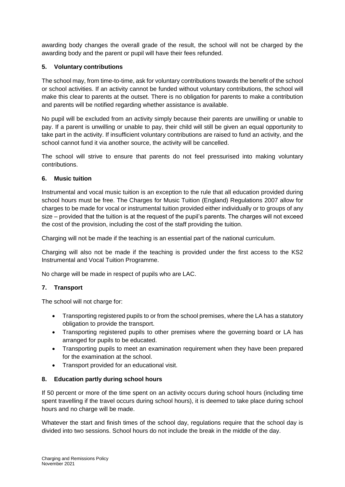awarding body changes the overall grade of the result, the school will not be charged by the awarding body and the parent or pupil will have their fees refunded.

## <span id="page-6-0"></span>**5. Voluntary contributions**

The school may, from time-to-time, ask for voluntary contributions towards the benefit of the school or school activities. If an activity cannot be funded without voluntary contributions, the school will make this clear to parents at the outset. There is no obligation for parents to make a contribution and parents will be notified regarding whether assistance is available.

No pupil will be excluded from an activity simply because their parents are unwilling or unable to pay. If a parent is unwilling or unable to pay, their child will still be given an equal opportunity to take part in the activity. If insufficient voluntary contributions are raised to fund an activity, and the school cannot fund it via another source, the activity will be cancelled.

The school will strive to ensure that parents do not feel pressurised into making voluntary contributions.

## <span id="page-6-1"></span>**6. Music tuition**

Instrumental and vocal music tuition is an exception to the rule that all education provided during school hours must be free. The Charges for Music Tuition (England) Regulations 2007 allow for charges to be made for vocal or instrumental tuition provided either individually or to groups of any size – provided that the tuition is at the request of the pupil's parents. The charges will not exceed the cost of the provision, including the cost of the staff providing the tuition.

Charging will not be made if the teaching is an essential part of the national curriculum.

Charging will also not be made if the teaching is provided under the first access to the KS2 Instrumental and Vocal Tuition Programme.

No charge will be made in respect of pupils who are LAC.

# <span id="page-6-2"></span>**7. Transport**

The school will not charge for:

- Transporting registered pupils to or from the school premises, where the LA has a statutory obligation to provide the transport.
- Transporting registered pupils to other premises where the governing board or LA has arranged for pupils to be educated.
- Transporting pupils to meet an examination requirement when they have been prepared for the examination at the school.
- Transport provided for an educational visit.

# <span id="page-6-3"></span>**8. Education partly during school hours**

If 50 percent or more of the time spent on an activity occurs during school hours (including time spent travelling if the travel occurs during school hours), it is deemed to take place during school hours and no charge will be made.

Whatever the start and finish times of the school day, regulations require that the school day is divided into two sessions. School hours do not include the break in the middle of the day.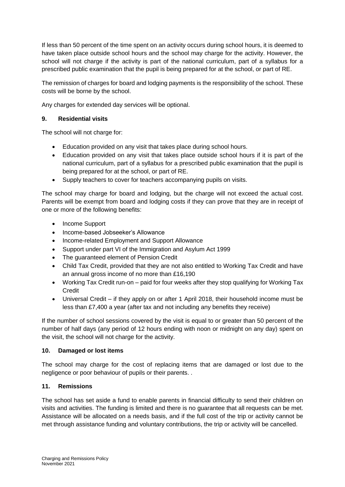If less than 50 percent of the time spent on an activity occurs during school hours, it is deemed to have taken place outside school hours and the school may charge for the activity. However, the school will not charge if the activity is part of the national curriculum, part of a syllabus for a prescribed public examination that the pupil is being prepared for at the school, or part of RE.

The remission of charges for board and lodging payments is the responsibility of the school. These costs will be borne by the school.

Any charges for extended day services will be optional.

## <span id="page-7-0"></span>**9. Residential visits**

The school will not charge for:

- Education provided on any visit that takes place during school hours.
- Education provided on any visit that takes place outside school hours if it is part of the national curriculum, part of a syllabus for a prescribed public examination that the pupil is being prepared for at the school, or part of RE.
- Supply teachers to cover for teachers accompanying pupils on visits.

The school may charge for board and lodging, but the charge will not exceed the actual cost. Parents will be exempt from board and lodging costs if they can prove that they are in receipt of one or more of the following benefits:

- Income Support
- Income-based Jobseeker's Allowance
- Income-related Employment and Support Allowance
- Support under part VI of the Immigration and Asylum Act 1999
- The guaranteed element of Pension Credit
- Child Tax Credit, provided that they are not also entitled to Working Tax Credit and have an annual gross income of no more than £16,190
- Working Tax Credit run-on paid for four weeks after they stop qualifying for Working Tax Credit
- Universal Credit if they apply on or after 1 April 2018, their household income must be less than £7,400 a year (after tax and not including any benefits they receive)

If the number of school sessions covered by the visit is equal to or greater than 50 percent of the number of half days (any period of 12 hours ending with noon or midnight on any day) spent on the visit, the school will not charge for the activity.

## <span id="page-7-1"></span>**10. Damaged or lost items**

The school may charge for the cost of replacing items that are damaged or lost due to the negligence or poor behaviour of pupils or their parents. .

## <span id="page-7-2"></span>**11. Remissions**

The school has set aside a fund to enable parents in financial difficulty to send their children on visits and activities. The funding is limited and there is no guarantee that all requests can be met. Assistance will be allocated on a needs basis, and if the full cost of the trip or activity cannot be met through assistance funding and voluntary contributions, the trip or activity will be cancelled.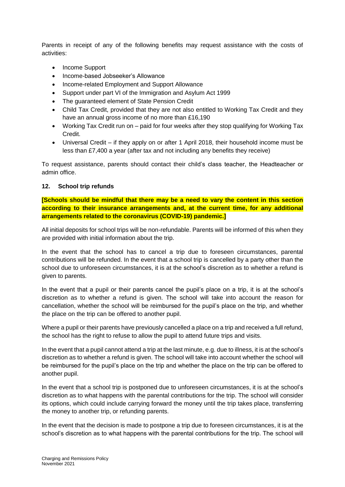Parents in receipt of any of the following benefits may request assistance with the costs of activities:

- Income Support
- Income-based Jobseeker's Allowance
- Income-related Employment and Support Allowance
- Support under part VI of the Immigration and Asylum Act 1999
- The quaranteed element of State Pension Credit
- Child Tax Credit, provided that they are not also entitled to Working Tax Credit and they have an annual gross income of no more than £16,190
- Working Tax Credit run on paid for four weeks after they stop qualifying for Working Tax Credit.
- Universal Credit if they apply on or after 1 April 2018, their household income must be less than £7,400 a year (after tax and not including any benefits they receive)

To request assistance, parents should contact their child's class teacher, the Headteacher or admin office.

#### <span id="page-8-0"></span>**12. School trip refunds**

**[Schools should be mindful that there may be a need to vary the content in this section according to their insurance arrangements and, at the current time, for any additional arrangements related to the coronavirus (COVID-19) pandemic.]**

All initial deposits for school trips will be non-refundable. Parents will be informed of this when they are provided with initial information about the trip.

In the event that the school has to cancel a trip due to foreseen circumstances, parental contributions will be refunded. In the event that a school trip is cancelled by a party other than the school due to unforeseen circumstances, it is at the school's discretion as to whether a refund is given to parents.

In the event that a pupil or their parents cancel the pupil's place on a trip, it is at the school's discretion as to whether a refund is given. The school will take into account the reason for cancellation, whether the school will be reimbursed for the pupil's place on the trip, and whether the place on the trip can be offered to another pupil.

Where a pupil or their parents have previously cancelled a place on a trip and received a full refund, the school has the right to refuse to allow the pupil to attend future trips and visits.

In the event that a pupil cannot attend a trip at the last minute, e.g. due to illness, it is at the school's discretion as to whether a refund is given. The school will take into account whether the school will be reimbursed for the pupil's place on the trip and whether the place on the trip can be offered to another pupil.

In the event that a school trip is postponed due to unforeseen circumstances, it is at the school's discretion as to what happens with the parental contributions for the trip. The school will consider its options, which could include carrying forward the money until the trip takes place, transferring the money to another trip, or refunding parents.

In the event that the decision is made to postpone a trip due to foreseen circumstances, it is at the school's discretion as to what happens with the parental contributions for the trip. The school will